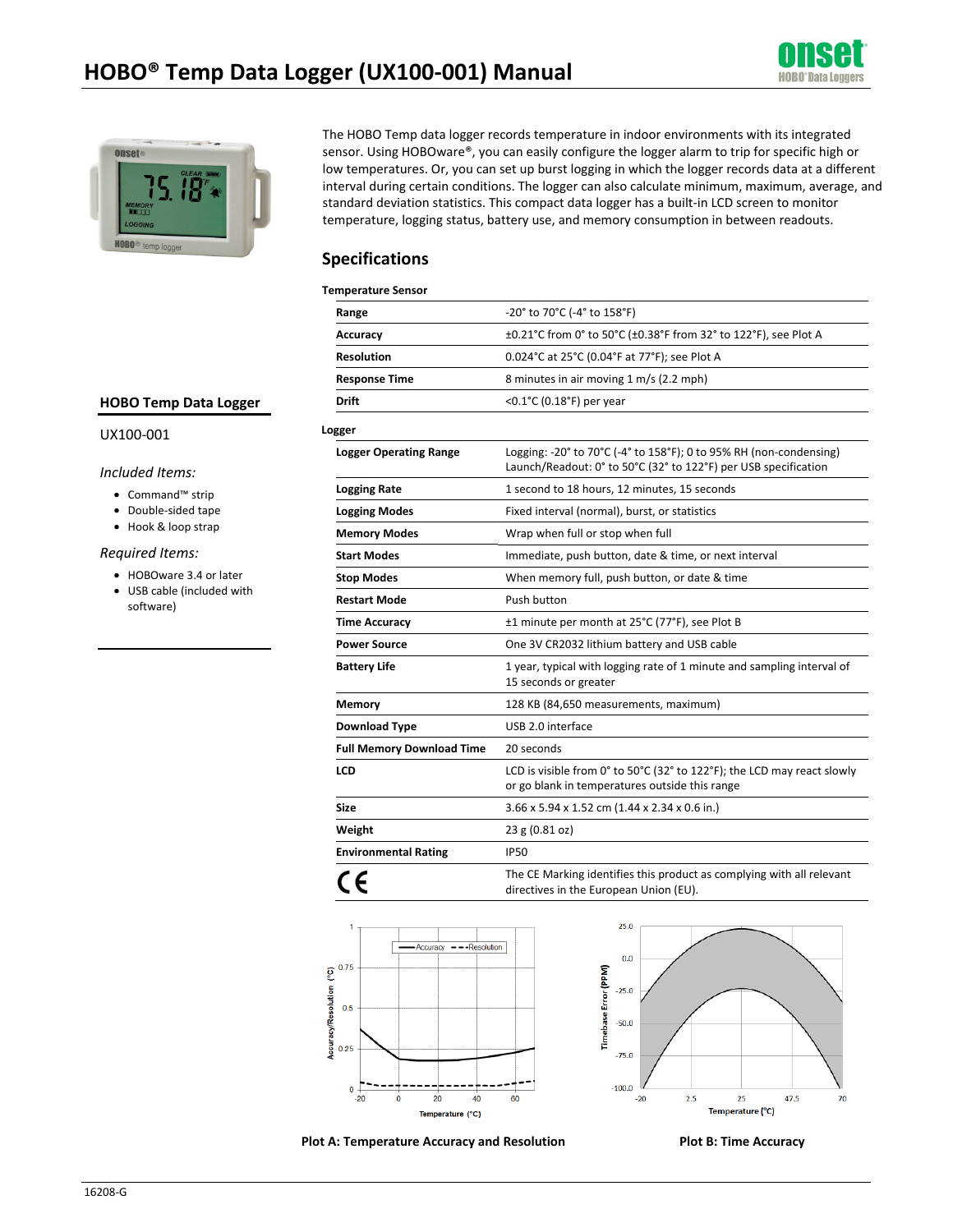



The HOBO Temp data logger records temperature in indoor environments with its integrated sensor. Using HOBOware®, you can easily configure the logger alarm to trip for specific high or low temperatures. Or, you can set up burst logging in which the logger records data at a different interval during certain conditions. The logger can also calculate minimum, maximum, average, and standard deviation statistics. This compact data logger has a built-in LCD screen to monitor temperature, logging status, battery use, and memory consumption in between readouts.

### **Specifications**

#### **Temperature Sensor**

| Range                            | -20° to 70°C (-4° to 158°F)                                                                                                           |
|----------------------------------|---------------------------------------------------------------------------------------------------------------------------------------|
| Accuracy                         | ±0.21°C from 0° to 50°C (±0.38°F from 32° to 122°F), see Plot A                                                                       |
| <b>Resolution</b>                | 0.024°C at 25°C (0.04°F at 77°F); see Plot A                                                                                          |
| <b>Response Time</b>             | 8 minutes in air moving 1 m/s (2.2 mph)                                                                                               |
| Drift                            | < $0.1^{\circ}$ C (0.18 $^{\circ}$ F) per year                                                                                        |
| Logger                           |                                                                                                                                       |
| <b>Logger Operating Range</b>    | Logging: -20° to 70°C (-4° to 158°F); 0 to 95% RH (non-condensing)<br>Launch/Readout: 0° to 50°C (32° to 122°F) per USB specification |
| <b>Logging Rate</b>              | 1 second to 18 hours, 12 minutes, 15 seconds                                                                                          |
| <b>Logging Modes</b>             | Fixed interval (normal), burst, or statistics                                                                                         |
| <b>Memory Modes</b>              | Wrap when full or stop when full                                                                                                      |
| <b>Start Modes</b>               | Immediate, push button, date & time, or next interval                                                                                 |
| <b>Stop Modes</b>                | When memory full, push button, or date & time                                                                                         |
| <b>Restart Mode</b>              | Push button                                                                                                                           |
| <b>Time Accuracy</b>             | ±1 minute per month at 25°C (77°F), see Plot B                                                                                        |
| <b>Power Source</b>              | One 3V CR2032 lithium battery and USB cable                                                                                           |
| <b>Battery Life</b>              | 1 year, typical with logging rate of 1 minute and sampling interval of<br>15 seconds or greater                                       |
| <b>Memory</b>                    | 128 KB (84,650 measurements, maximum)                                                                                                 |
| <b>Download Type</b>             | USB 2.0 interface                                                                                                                     |
| <b>Full Memory Download Time</b> | 20 seconds                                                                                                                            |
| <b>LCD</b>                       | LCD is visible from 0° to 50°C (32° to 122°F); the LCD may react slowly<br>or go blank in temperatures outside this range             |
| <b>Size</b>                      | 3.66 x 5.94 x 1.52 cm (1.44 x 2.34 x 0.6 in.)                                                                                         |
| Weight                           | 23 g (0.81 oz)                                                                                                                        |
| <b>Environmental Rating</b>      | <b>IP50</b>                                                                                                                           |
|                                  | The CE Marking identifies this product as complying with all relevant<br>directives in the European Union (EU).                       |





**Plot A: Temperature Accuracy and Resolution Plot B: Time Accuracy** 



### **HOBO Temp Data Logger**

#### UX100-001

#### *Included Items:*

- Command™ strip
- Double-sided tape
- Hook & loop strap

#### *Required Items:*

- HOBOware 3.4 or later
- USB cable (included with software)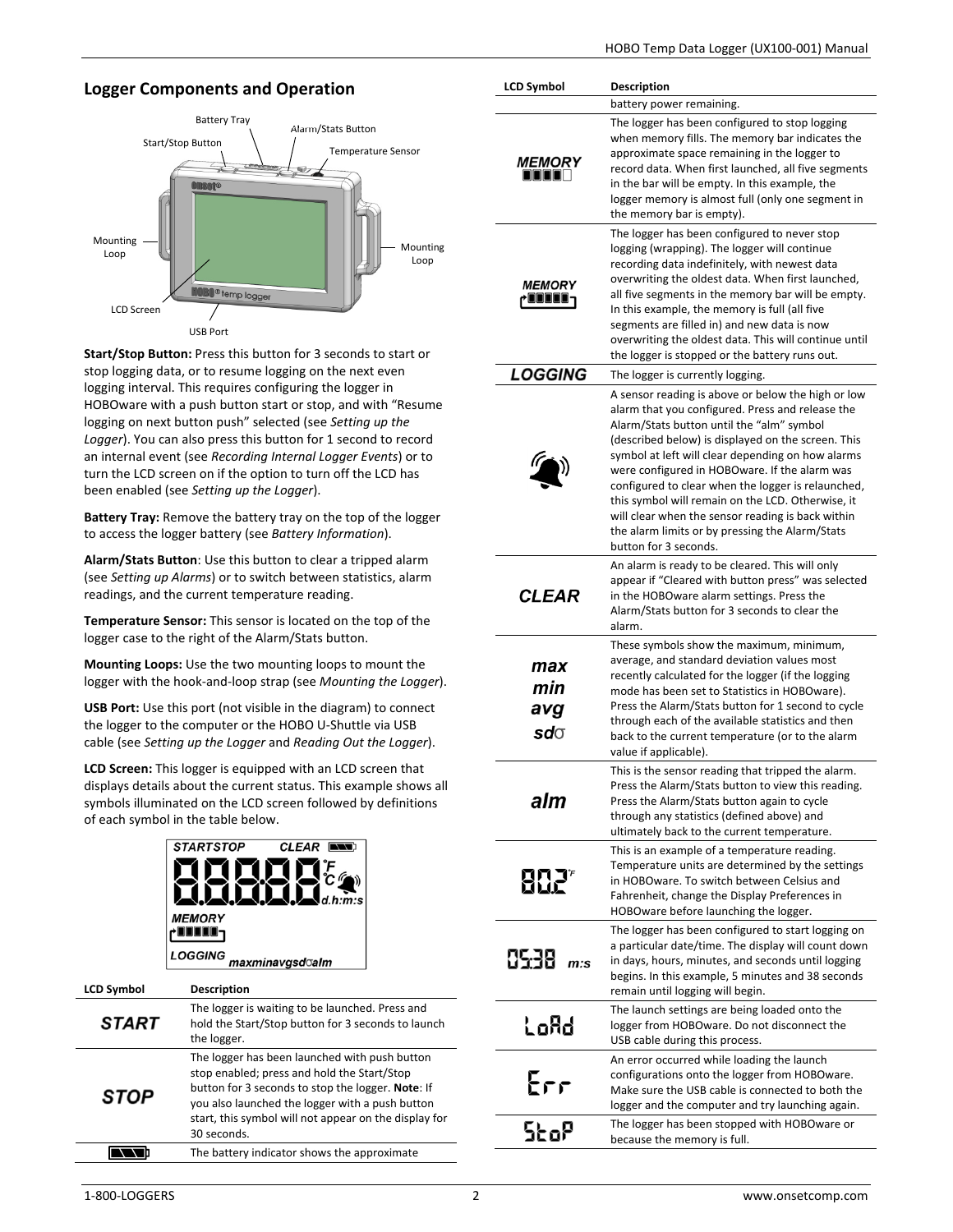# **Logger Components and Operation**



**Start/Stop Button:** Press this button for 3 seconds to start or stop logging data, or to resume logging on the next even logging interval. This requires configuring the logger in HOBOware with a push button start or stop, and with "Resume logging on next button push" selected (see *Setting up the Logger*). You can also press this button for 1 second to record an internal event (see *Recording Internal Logger Events*) or to turn the LCD screen on if the option to turn off the LCD has been enabled (see *Setting up the Logger*).

**Battery Tray:** Remove the battery tray on the top of the logger to access the logger battery (see *Battery Information*).

**Alarm/Stats Button**: Use this button to clear a tripped alarm (see *Setting up Alarms*) or to switch between statistics, alarm readings, and the current temperature reading.

**Temperature Sensor:** This sensor is located on the top of the logger case to the right of the Alarm/Stats button.

**Mounting Loops:** Use the two mounting loops to mount the logger with the hook-and-loop strap (see *Mounting the Logger*).

**USB Port:** Use this port (not visible in the diagram) to connect the logger to the computer or the HOBO U-Shuttle via USB cable (see *Setting up the Logger* and *Reading Out the Logger*).

**LCD Screen:** This logger is equipped with an LCD screen that displays details about the current status. This example shows all symbols illuminated on the LCD screen followed by definitions of each symbol in the table below.

|                   | <b>STARTSTOP</b><br><b>MEMORY</b><br><b>LOGGING</b>                                                               | <b>CLEAR</b><br>maxminavgsd <b>⊙al</b> m | n:s |  |
|-------------------|-------------------------------------------------------------------------------------------------------------------|------------------------------------------|-----|--|
| <b>LCD Symbol</b> | <b>Description</b>                                                                                                |                                          |     |  |
| START             | The logger is waiting to be launched. Press and<br>hold the Start/Stop button for 3 seconds to lau<br>the logger. |                                          |     |  |

| <b>STOP</b> | The logger has been launched with push button<br>stop enabled; press and hold the Start/Stop<br>button for 3 seconds to stop the logger. Note: If<br>you also launched the logger with a push button<br>start, this symbol will not appear on the display for<br>30 seconds. |
|-------------|------------------------------------------------------------------------------------------------------------------------------------------------------------------------------------------------------------------------------------------------------------------------------|
|             | The battery indicator shows the approximate                                                                                                                                                                                                                                  |

| <b>LCD Symbol</b>        | <b>Description</b>                                                                                                                                                                                                                                                                                                                                                                                                                                                                                                                                          |
|--------------------------|-------------------------------------------------------------------------------------------------------------------------------------------------------------------------------------------------------------------------------------------------------------------------------------------------------------------------------------------------------------------------------------------------------------------------------------------------------------------------------------------------------------------------------------------------------------|
|                          | battery power remaining.                                                                                                                                                                                                                                                                                                                                                                                                                                                                                                                                    |
| <b>MEMORY</b>            | The logger has been configured to stop logging<br>when memory fills. The memory bar indicates the<br>approximate space remaining in the logger to<br>record data. When first launched, all five segments<br>in the bar will be empty. In this example, the<br>logger memory is almost full (only one segment in<br>the memory bar is empty).                                                                                                                                                                                                                |
| <b>MEMORY</b><br>JUUUU - | The logger has been configured to never stop<br>logging (wrapping). The logger will continue<br>recording data indefinitely, with newest data<br>overwriting the oldest data. When first launched,<br>all five segments in the memory bar will be empty.<br>In this example, the memory is full (all five<br>segments are filled in) and new data is now<br>overwriting the oldest data. This will continue until<br>the logger is stopped or the battery runs out.                                                                                         |
| <b>LOGGING</b>           | The logger is currently logging.                                                                                                                                                                                                                                                                                                                                                                                                                                                                                                                            |
|                          | A sensor reading is above or below the high or low<br>alarm that you configured. Press and release the<br>Alarm/Stats button until the "alm" symbol<br>(described below) is displayed on the screen. This<br>symbol at left will clear depending on how alarms<br>were configured in HOBOware. If the alarm was<br>configured to clear when the logger is relaunched,<br>this symbol will remain on the LCD. Otherwise, it<br>will clear when the sensor reading is back within<br>the alarm limits or by pressing the Alarm/Stats<br>button for 3 seconds. |
| <b>CLEAR</b>             | An alarm is ready to be cleared. This will only<br>appear if "Cleared with button press" was selected<br>in the HOBOware alarm settings. Press the<br>Alarm/Stats button for 3 seconds to clear the<br>alarm.                                                                                                                                                                                                                                                                                                                                               |
| max<br>min<br>avg<br>sdo | These symbols show the maximum, minimum,<br>average, and standard deviation values most<br>recently calculated for the logger (if the logging<br>mode has been set to Statistics in HOBOware).<br>Press the Alarm/Stats button for 1 second to cycle<br>through each of the available statistics and then<br>back to the current temperature (or to the alarm<br>value if applicable).                                                                                                                                                                      |
| alm                      | This is the sensor reading that tripped the alarm<br>Press the Alarm/Stats button to view this reading.<br>Press the Alarm/Stats button again to cycle<br>through any statistics (defined above) and<br>ultimately back to the current temperature.                                                                                                                                                                                                                                                                                                         |
| 802°                     | This is an example of a temperature reading.<br>Temperature units are determined by the settings<br>in HOBOware. To switch between Celsius and<br>Fahrenheit, change the Display Preferences in<br>HOBOware before launching the logger.                                                                                                                                                                                                                                                                                                                    |
| 0538 m:s                 | The logger has been configured to start logging on<br>a particular date/time. The display will count down<br>in days, hours, minutes, and seconds until logging<br>begins. In this example, 5 minutes and 38 seconds<br>remain until logging will begin.                                                                                                                                                                                                                                                                                                    |
| LoAd                     | The launch settings are being loaded onto the<br>logger from HOBOware. Do not disconnect the<br>USB cable during this process.                                                                                                                                                                                                                                                                                                                                                                                                                              |
| Err                      | An error occurred while loading the launch<br>configurations onto the logger from HOBOware.<br>Make sure the USB cable is connected to both the<br>logger and the computer and try launching again.                                                                                                                                                                                                                                                                                                                                                         |
| StoP                     | The logger has been stopped with HOBOware or<br>because the memory is full.                                                                                                                                                                                                                                                                                                                                                                                                                                                                                 |

to launch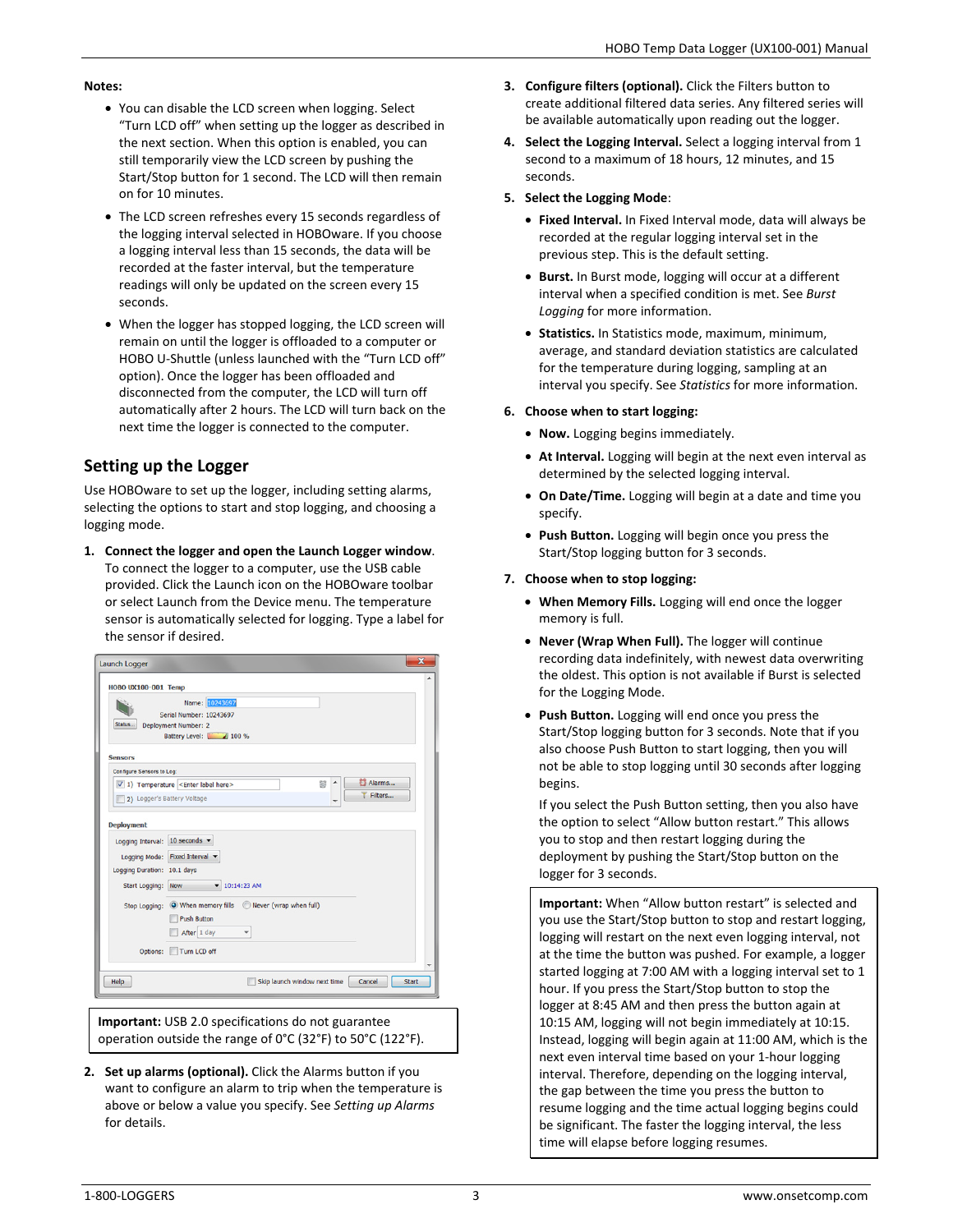#### **Notes:**

- You can disable the LCD screen when logging. Select "Turn LCD off" when setting up the logger as described in the next section. When this option is enabled, you can still temporarily view the LCD screen by pushing the Start/Stop button for 1 second. The LCD will then remain on for 10 minutes.
- The LCD screen refreshes every 15 seconds regardless of the logging interval selected in HOBOware. If you choose a logging interval less than 15 seconds, the data will be recorded at the faster interval, but the temperature readings will only be updated on the screen every 15 seconds.
- When the logger has stopped logging, the LCD screen will remain on until the logger is offloaded to a computer or HOBO U-Shuttle (unless launched with the "Turn LCD off" option). Once the logger has been offloaded and disconnected from the computer, the LCD will turn off automatically after 2 hours. The LCD will turn back on the next time the logger is connected to the computer.

## **Setting up the Logger**

Use HOBOware to set up the logger, including setting alarms, selecting the options to start and stop logging, and choosing a logging mode.

**1. Connect the logger and open the Launch Logger window**. To connect the logger to a computer, use the USB cable provided. Click the Launch icon on the HOBOware toolbar or select Launch from the Device menu. The temperature sensor is automatically selected for logging. Type a label for the sensor if desired.

|                                | Name: 10243697                                                                           |  |
|--------------------------------|------------------------------------------------------------------------------------------|--|
| Status                         | Serial Number: 10243697<br>Deployment Number: 2                                          |  |
|                                | Battery Level: 100 %                                                                     |  |
| <b>Sensors</b>                 |                                                                                          |  |
| Configure Sensors to Log:      |                                                                                          |  |
|                                | Alarms<br>ta)<br>$\sqrt{1}$ ) Temperature <enter here="" label=""><br/>T Filters</enter> |  |
| 2) Logger's Battery Voltage    |                                                                                          |  |
| <b>Deployment</b>              |                                                                                          |  |
| Logging Interval: 10 seconds v |                                                                                          |  |
|                                | Logging Mode: Fixed Interval v                                                           |  |
| Logging Duration: 10.1 days    |                                                                                          |  |
| Start Logging: Now             | $-10:14:23$ AM                                                                           |  |
|                                | Stop Logging: © When memory fills ©<br>Never (wrap when full)                            |  |
|                                | <b>Push Button</b>                                                                       |  |
|                                | After 1 day                                                                              |  |
| Options:                       | Turn LCD off                                                                             |  |

**Important:** USB 2.0 specifications do not guarantee operation outside the range of 0°C (32°F) to 50°C (122°F).

**2. Set up alarms (optional).** Click the Alarms button if you want to configure an alarm to trip when the temperature is above or below a value you specify. See *Setting up Alarms* for details.

- **3. Configure filters (optional).** Click the Filters button to create additional filtered data series. Any filtered series will be available automatically upon reading out the logger.
- **4. Select the Logging Interval.** Select a logging interval from 1 second to a maximum of 18 hours, 12 minutes, and 15 seconds.
- **5. Select the Logging Mode**:
	- **Fixed Interval.** In Fixed Interval mode, data will always be recorded at the regular logging interval set in the previous step. This is the default setting.
	- **Burst.** In Burst mode, logging will occur at a different interval when a specified condition is met. See *Burst Logging* for more information.
	- **Statistics.** In Statistics mode, maximum, minimum, average, and standard deviation statistics are calculated for the temperature during logging, sampling at an interval you specify. See *Statistics* for more information.

### **6. Choose when to start logging:**

- **Now.** Logging begins immediately.
- **At Interval.** Logging will begin at the next even interval as determined by the selected logging interval.
- **On Date/Time.** Logging will begin at a date and time you specify.
- **Push Button.** Logging will begin once you press the Start/Stop logging button for 3 seconds.

### **7. Choose when to stop logging:**

- **When Memory Fills.** Logging will end once the logger memory is full.
- **Never (Wrap When Full).** The logger will continue recording data indefinitely, with newest data overwriting the oldest. This option is not available if Burst is selected for the Logging Mode.
- **Push Button.** Logging will end once you press the Start/Stop logging button for 3 seconds. Note that if you also choose Push Button to start logging, then you will not be able to stop logging until 30 seconds after logging begins.

If you select the Push Button setting, then you also have the option to select "Allow button restart." This allows you to stop and then restart logging during the deployment by pushing the Start/Stop button on the logger for 3 seconds.

**Important:** When "Allow button restart" is selected and you use the Start/Stop button to stop and restart logging, logging will restart on the next even logging interval, not at the time the button was pushed. For example, a logger started logging at 7:00 AM with a logging interval set to 1 hour. If you press the Start/Stop button to stop the logger at 8:45 AM and then press the button again at 10:15 AM, logging will not begin immediately at 10:15. Instead, logging will begin again at 11:00 AM, which is the next even interval time based on your 1-hour logging interval. Therefore, depending on the logging interval, the gap between the time you press the button to resume logging and the time actual logging begins could be significant. The faster the logging interval, the less time will elapse before logging resumes.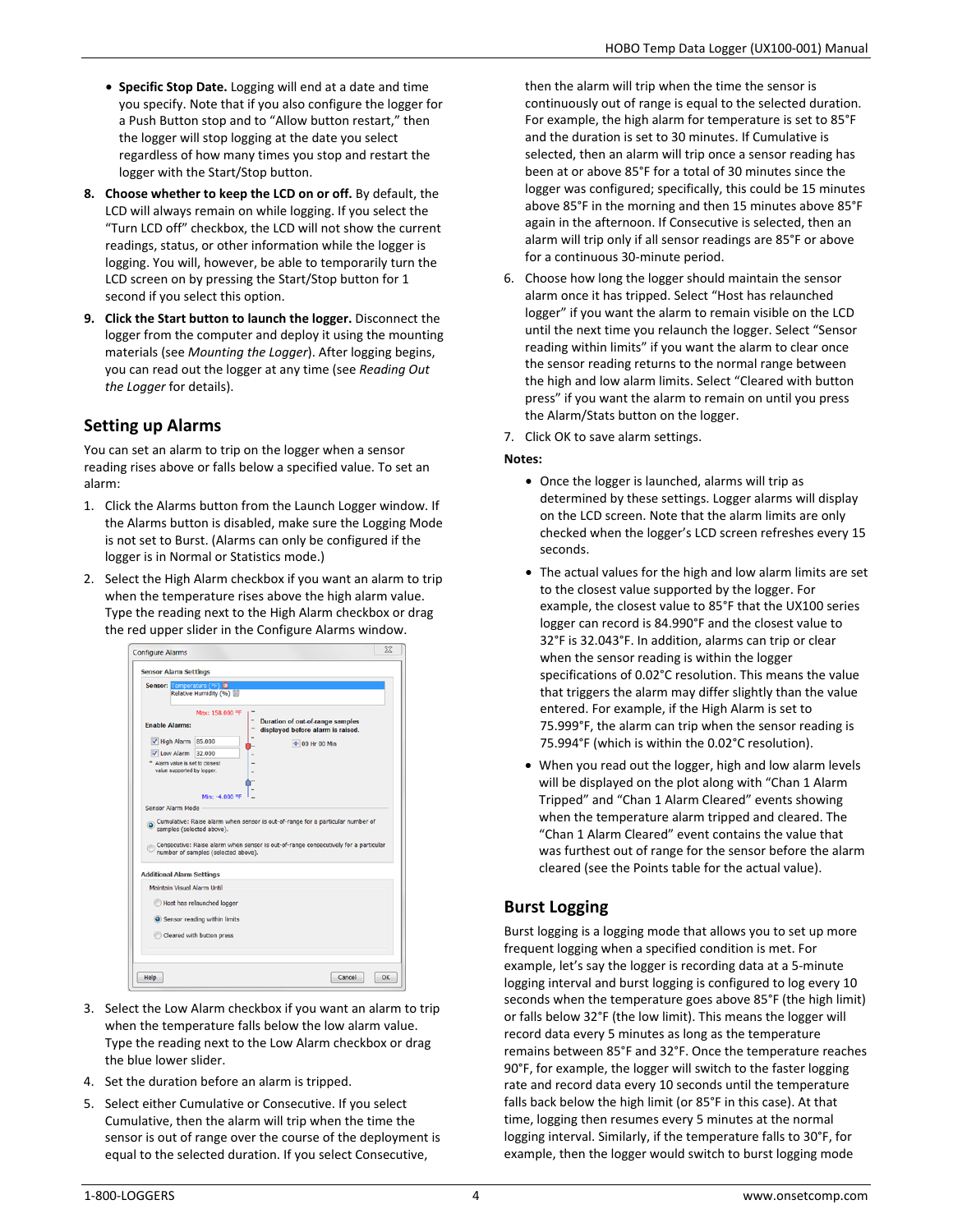- **Specific Stop Date.** Logging will end at a date and time you specify. Note that if you also configure the logger for a Push Button stop and to "Allow button restart," then the logger will stop logging at the date you select regardless of how many times you stop and restart the logger with the Start/Stop button.
- **8. Choose whether to keep the LCD on or off.** By default, the LCD will always remain on while logging. If you select the "Turn LCD off" checkbox, the LCD will not show the current readings, status, or other information while the logger is logging. You will, however, be able to temporarily turn the LCD screen on by pressing the Start/Stop button for 1 second if you select this option.
- **9. Click the Start button to launch the logger.** Disconnect the logger from the computer and deploy it using the mounting materials (see *Mounting the Logger*). After logging begins, you can read out the logger at any time (see *Reading Out the Logger* for details).

## **Setting up Alarms**

You can set an alarm to trip on the logger when a sensor reading rises above or falls below a specified value. To set an alarm:

- 1. Click the Alarms button from the Launch Logger window. If the Alarms button is disabled, make sure the Logging Mode is not set to Burst. (Alarms can only be configured if the logger is in Normal or Statistics mode.)
- 2. Select the High Alarm checkbox if you want an alarm to trip when the temperature rises above the high alarm value. Type the reading next to the High Alarm checkbox or drag the red upper slider in the Configure Alarms window.

|                                                                                                                                 | <b>Sensor Alarm Settings</b>                                     |                                                                                                                                                                       |
|---------------------------------------------------------------------------------------------------------------------------------|------------------------------------------------------------------|-----------------------------------------------------------------------------------------------------------------------------------------------------------------------|
| Sensor: Temperature (°F) 3                                                                                                      | Relative Humidity (%)                                            |                                                                                                                                                                       |
| <b>Enable Alarms:</b><br>High Alarm 85.000<br>Low Alarm 32.000<br>" Alarm value is set to closest<br>value supported by logger. | Max: 158,000 °F<br>Min: -4.000.9F                                | <b>Duration of out-of-range samples</b><br>displayed before alarm is raised.<br>+ 00 Hr 00 Min                                                                        |
|                                                                                                                                 | samples (selected above).<br>number of samples (selected above). | Cumulative: Raise alarm when sensor is out-of-range for a particular number of<br>Consecutive: Raise alarm when sensor is out-of-range consecutively for a particular |
|                                                                                                                                 |                                                                  |                                                                                                                                                                       |
| <b>Additional Alarm Settings</b>                                                                                                |                                                                  |                                                                                                                                                                       |

- 3. Select the Low Alarm checkbox if you want an alarm to trip when the temperature falls below the low alarm value. Type the reading next to the Low Alarm checkbox or drag the blue lower slider.
- 4. Set the duration before an alarm is tripped.
- 5. Select either Cumulative or Consecutive. If you select Cumulative, then the alarm will trip when the time the sensor is out of range over the course of the deployment is equal to the selected duration. If you select Consecutive,

then the alarm will trip when the time the sensor is continuously out of range is equal to the selected duration. For example, the high alarm for temperature is set to 85°F and the duration is set to 30 minutes. If Cumulative is selected, then an alarm will trip once a sensor reading has been at or above 85°F for a total of 30 minutes since the logger was configured; specifically, this could be 15 minutes above 85°F in the morning and then 15 minutes above 85°F again in the afternoon. If Consecutive is selected, then an alarm will trip only if all sensor readings are 85°F or above for a continuous 30-minute period.

6. Choose how long the logger should maintain the sensor alarm once it has tripped. Select "Host has relaunched logger" if you want the alarm to remain visible on the LCD until the next time you relaunch the logger. Select "Sensor reading within limits" if you want the alarm to clear once the sensor reading returns to the normal range between the high and low alarm limits. Select "Cleared with button press" if you want the alarm to remain on until you press the Alarm/Stats button on the logger.

7. Click OK to save alarm settings.

#### **Notes:**

- Once the logger is launched, alarms will trip as determined by these settings. Logger alarms will display on the LCD screen. Note that the alarm limits are only checked when the logger's LCD screen refreshes every 15 seconds.
- The actual values for the high and low alarm limits are set to the closest value supported by the logger. For example, the closest value to 85°F that the UX100 series logger can record is 84.990°F and the closest value to 32°F is 32.043°F. In addition, alarms can trip or clear when the sensor reading is within the logger specifications of 0.02°C resolution. This means the value that triggers the alarm may differ slightly than the value entered. For example, if the High Alarm is set to 75.999°F, the alarm can trip when the sensor reading is 75.994°F (which is within the 0.02°C resolution).
- When you read out the logger, high and low alarm levels will be displayed on the plot along with "Chan 1 Alarm Tripped" and "Chan 1 Alarm Cleared" events showing when the temperature alarm tripped and cleared. The "Chan 1 Alarm Cleared" event contains the value that was furthest out of range for the sensor before the alarm cleared (see the Points table for the actual value).

## **Burst Logging**

Burst logging is a logging mode that allows you to set up more frequent logging when a specified condition is met. For example, let's say the logger is recording data at a 5-minute logging interval and burst logging is configured to log every 10 seconds when the temperature goes above 85°F (the high limit) or falls below 32°F (the low limit). This means the logger will record data every 5 minutes as long as the temperature remains between 85°F and 32°F. Once the temperature reaches 90°F, for example, the logger will switch to the faster logging rate and record data every 10 seconds until the temperature falls back below the high limit (or 85°F in this case). At that time, logging then resumes every 5 minutes at the normal logging interval. Similarly, if the temperature falls to 30°F, for example, then the logger would switch to burst logging mode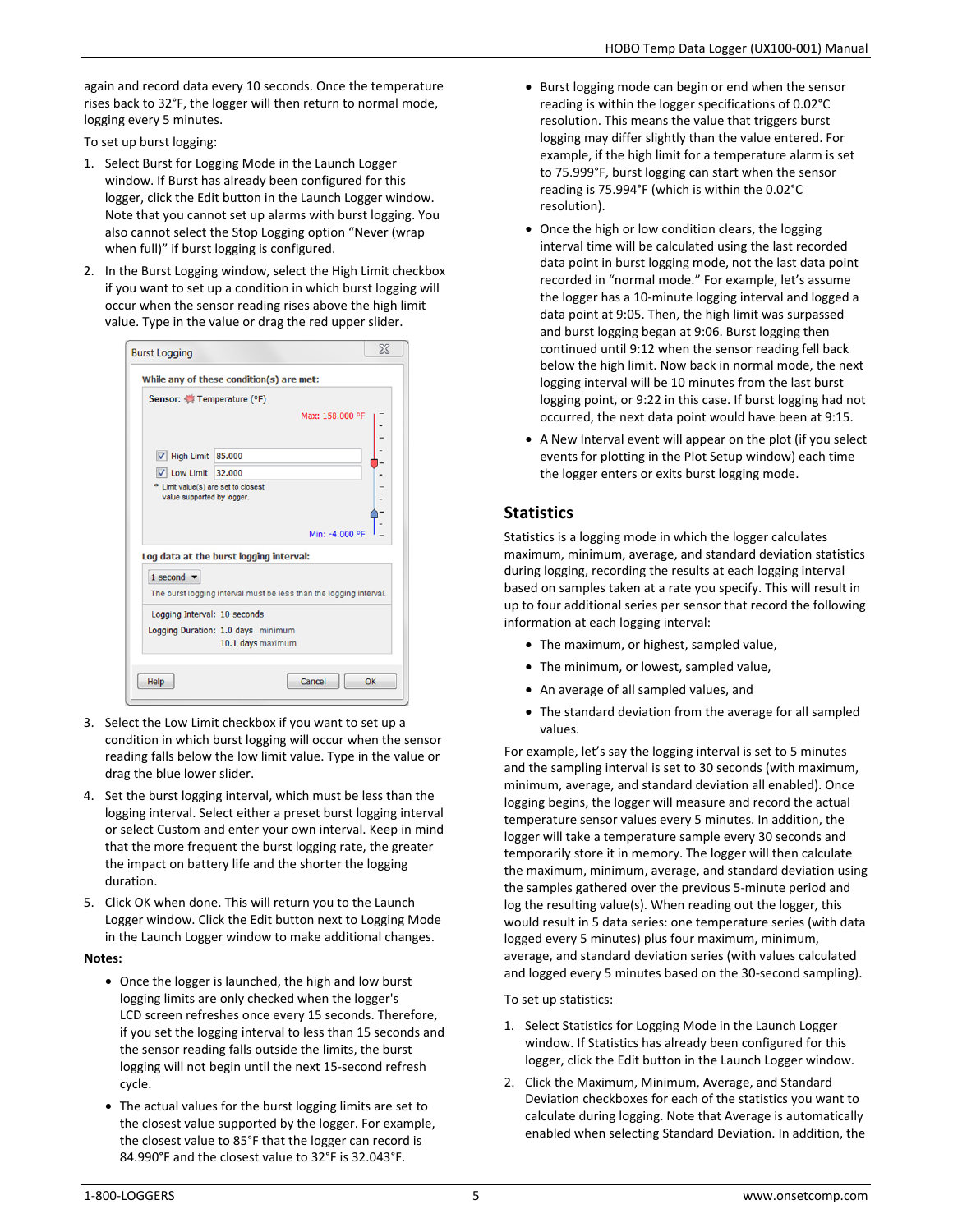again and record data every 10 seconds. Once the temperature rises back to 32°F, the logger will then return to normal mode, logging every 5 minutes.

To set up burst logging:

- 1. Select Burst for Logging Mode in the Launch Logger window. If Burst has already been configured for this logger, click the Edit button in the Launch Logger window. Note that you cannot set up alarms with burst logging. You also cannot select the Stop Logging option "Never (wrap when full)" if burst logging is configured.
- 2. In the Burst Logging window, select the High Limit checkbox if you want to set up a condition in which burst logging will occur when the sensor reading rises above the high limit value. Type in the value or drag the red upper slider.

|                                     | While any of these condition(s) are met:                           |  |
|-------------------------------------|--------------------------------------------------------------------|--|
| Sensor: Temperature (°F)            |                                                                    |  |
|                                     | Max: 158,000 °F                                                    |  |
|                                     |                                                                    |  |
| $\triangledown$ High Limit 85.000   |                                                                    |  |
| $\sqrt{}$ Low Limit 32.000          |                                                                    |  |
| * Limit value(s) are set to closest |                                                                    |  |
| value supported by logger.          |                                                                    |  |
|                                     |                                                                    |  |
|                                     | Min: -4,000 °F                                                     |  |
|                                     | Log data at the burst logging interval:                            |  |
|                                     |                                                                    |  |
|                                     |                                                                    |  |
| 1 second $\blacktriangledown$       |                                                                    |  |
|                                     | The burst logging interval must be less than the logging interval. |  |
| Logging Interval: 10 seconds        |                                                                    |  |
|                                     | Logging Duration: 1.0 days minimum                                 |  |

- 3. Select the Low Limit checkbox if you want to set up a condition in which burst logging will occur when the sensor reading falls below the low limit value. Type in the value or drag the blue lower slider.
- 4. Set the burst logging interval, which must be less than the logging interval. Select either a preset burst logging interval or select Custom and enter your own interval. Keep in mind that the more frequent the burst logging rate, the greater the impact on battery life and the shorter the logging duration.
- 5. Click OK when done. This will return you to the Launch Logger window. Click the Edit button next to Logging Mode in the Launch Logger window to make additional changes.

#### **Notes:**

- Once the logger is launched, the high and low burst logging limits are only checked when the logger's LCD screen refreshes once every 15 seconds. Therefore, if you set the logging interval to less than 15 seconds and the sensor reading falls outside the limits, the burst logging will not begin until the next 15-second refresh cycle.
- The actual values for the burst logging limits are set to the closest value supported by the logger. For example, the closest value to 85°F that the logger can record is 84.990°F and the closest value to 32°F is 32.043°F.
- Burst logging mode can begin or end when the sensor reading is within the logger specifications of 0.02°C resolution. This means the value that triggers burst logging may differ slightly than the value entered. For example, if the high limit for a temperature alarm is set to 75.999°F, burst logging can start when the sensor reading is 75.994°F (which is within the 0.02°C resolution).
- Once the high or low condition clears, the logging interval time will be calculated using the last recorded data point in burst logging mode, not the last data point recorded in "normal mode." For example, let's assume the logger has a 10-minute logging interval and logged a data point at 9:05. Then, the high limit was surpassed and burst logging began at 9:06. Burst logging then continued until 9:12 when the sensor reading fell back below the high limit. Now back in normal mode, the next logging interval will be 10 minutes from the last burst logging point, or 9:22 in this case. If burst logging had not occurred, the next data point would have been at 9:15.
- A New Interval event will appear on the plot (if you select events for plotting in the Plot Setup window) each time the logger enters or exits burst logging mode.

## **Statistics**

Statistics is a logging mode in which the logger calculates maximum, minimum, average, and standard deviation statistics during logging, recording the results at each logging interval based on samples taken at a rate you specify. This will result in up to four additional series per sensor that record the following information at each logging interval:

- The maximum, or highest, sampled value,
- The minimum, or lowest, sampled value,
- An average of all sampled values, and
- The standard deviation from the average for all sampled values.

For example, let's say the logging interval is set to 5 minutes and the sampling interval is set to 30 seconds (with maximum, minimum, average, and standard deviation all enabled). Once logging begins, the logger will measure and record the actual temperature sensor values every 5 minutes. In addition, the logger will take a temperature sample every 30 seconds and temporarily store it in memory. The logger will then calculate the maximum, minimum, average, and standard deviation using the samples gathered over the previous 5-minute period and log the resulting value(s). When reading out the logger, this would result in 5 data series: one temperature series (with data logged every 5 minutes) plus four maximum, minimum, average, and standard deviation series (with values calculated and logged every 5 minutes based on the 30-second sampling).

#### To set up statistics:

- 1. Select Statistics for Logging Mode in the Launch Logger window. If Statistics has already been configured for this logger, click the Edit button in the Launch Logger window.
- 2. Click the Maximum, Minimum, Average, and Standard Deviation checkboxes for each of the statistics you want to calculate during logging. Note that Average is automatically enabled when selecting Standard Deviation. In addition, the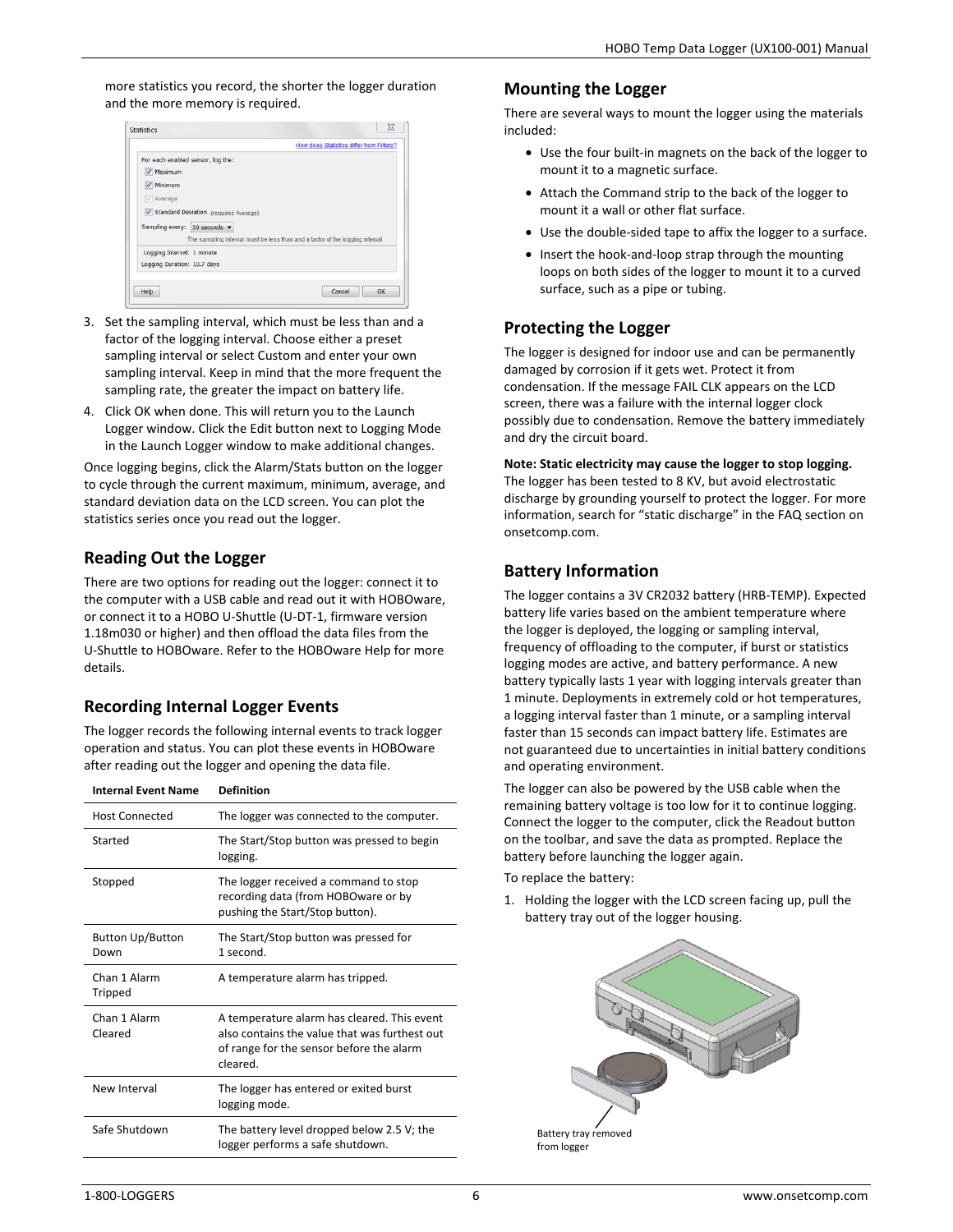more statistics you record, the shorter the logger duration and the more memory is required.

|                                   |                                         | How does Statistics differ from Filters?                                      |
|-----------------------------------|-----------------------------------------|-------------------------------------------------------------------------------|
| For each enabled sensor, log the: |                                         |                                                                               |
| V Maximum                         |                                         |                                                                               |
| $\sqrt{}$ Minimum                 |                                         |                                                                               |
| $\sqrt{\phantom{a}}$ Average      |                                         |                                                                               |
|                                   | V Standard Deviation (requires Average) |                                                                               |
|                                   |                                         |                                                                               |
| Sampling every: 30 seconds ▼      |                                         |                                                                               |
|                                   |                                         | The sampling interval must be less than and a factor of the logging interval. |
|                                   |                                         |                                                                               |
| Logging Interval: 1 minute        |                                         |                                                                               |
| Logging Duration: 10.7 days       |                                         |                                                                               |
|                                   |                                         |                                                                               |

- 3. Set the sampling interval, which must be less than and a factor of the logging interval. Choose either a preset sampling interval or select Custom and enter your own sampling interval. Keep in mind that the more frequent the sampling rate, the greater the impact on battery life.
- 4. Click OK when done. This will return you to the Launch Logger window. Click the Edit button next to Logging Mode in the Launch Logger window to make additional changes.

Once logging begins, click the Alarm/Stats button on the logger to cycle through the current maximum, minimum, average, and standard deviation data on the LCD screen. You can plot the statistics series once you read out the logger.

## **Reading Out the Logger**

There are two options for reading out the logger: connect it to the computer with a USB cable and read out it with HOBOware, or connect it to a HOBO U-Shuttle (U-DT-1, firmware version 1.18m030 or higher) and then offload the data files from the U-Shuttle to HOBOware. Refer to the HOBOware Help for more details.

# **Recording Internal Logger Events**

The logger records the following internal events to track logger operation and status. You can plot these events in HOBOware after reading out the logger and opening the data file.

| <b>Internal Event Name</b>      | <b>Definition</b>                                                                                                                                    |
|---------------------------------|------------------------------------------------------------------------------------------------------------------------------------------------------|
| <b>Host Connected</b>           | The logger was connected to the computer.                                                                                                            |
| Started                         | The Start/Stop button was pressed to begin<br>logging.                                                                                               |
| Stopped                         | The logger received a command to stop<br>recording data (from HOBOware or by<br>pushing the Start/Stop button).                                      |
| <b>Button Up/Button</b><br>Down | The Start/Stop button was pressed for<br>1 second.                                                                                                   |
| Chan 1 Alarm<br>Tripped         | A temperature alarm has tripped.                                                                                                                     |
| Chan 1 Alarm<br>Cleared         | A temperature alarm has cleared. This event<br>also contains the value that was furthest out<br>of range for the sensor before the alarm<br>cleared. |
| New Interval                    | The logger has entered or exited burst<br>logging mode.                                                                                              |
| Safe Shutdown                   | The battery level dropped below 2.5 V; the<br>logger performs a safe shutdown.                                                                       |

## **Mounting the Logger**

There are several ways to mount the logger using the materials included:

- Use the four built-in magnets on the back of the logger to mount it to a magnetic surface.
- Attach the Command strip to the back of the logger to mount it a wall or other flat surface.
- Use the double-sided tape to affix the logger to a surface.
- Insert the hook-and-loop strap through the mounting loops on both sides of the logger to mount it to a curved surface, such as a pipe or tubing.

## **Protecting the Logger**

The logger is designed for indoor use and can be permanently damaged by corrosion if it gets wet. Protect it from condensation. If the message FAIL CLK appears on the LCD screen, there was a failure with the internal logger clock possibly due to condensation. Remove the battery immediately and dry the circuit board.

**Note: Static electricity may cause the logger to stop logging.** The logger has been tested to 8 KV, but avoid electrostatic discharge by grounding yourself to protect the logger. For more information, search for "static discharge" in the FAQ section on onsetcomp.com.

# **Battery Information**

The logger contains a 3V CR2032 battery (HRB-TEMP). Expected battery life varies based on the ambient temperature where the logger is deployed, the logging or sampling interval, frequency of offloading to the computer, if burst or statistics logging modes are active, and battery performance. A new battery typically lasts 1 year with logging intervals greater than 1 minute. Deployments in extremely cold or hot temperatures, a logging interval faster than 1 minute, or a sampling interval faster than 15 seconds can impact battery life. Estimates are not guaranteed due to uncertainties in initial battery conditions and operating environment.

The logger can also be powered by the USB cable when the remaining battery voltage is too low for it to continue logging. Connect the logger to the computer, click the Readout button on the toolbar, and save the data as prompted. Replace the battery before launching the logger again.

To replace the battery:

1. Holding the logger with the LCD screen facing up, pull the battery tray out of the logger housing.